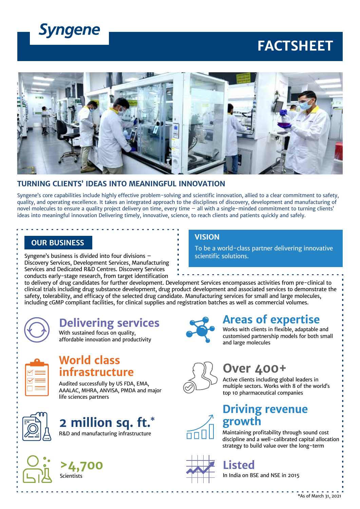

# **FACTSHEET**



#### **TURNING CLIENTS' IDEAS INTO MEANINGFUL INNOVATION**

Syngene's core capabilities include highly effective problem-solving and scientific innovation, allied to a clear commitment to safety, quality, and operating excellence. It takes an integrated approach to the disciplines of discovery, development and manufacturing of novel molecules to ensure a quality project delivery on time, every time – all with a single-minded commitment to turning clients' ideas into meaningful innovation Delivering timely, innovative, science, to reach clients and patients quickly and safely.

### **OUR BUSINESS**

Syngene's business is divided into four divisions – Discovery Services, Development Services, Manufacturing Services and Dedicated R&D Centres. Discovery Services conducts early-stage research, from target identification

### **VISION**

To be a world-class partner delivering innovative scientific solutions.

to delivery of drug candidates for further development. Development Services encompasses activities from pre-clinical to clinical trials including drug substance development, drug product development and associated services to demonstrate the safety, tolerability, and efficacy of the selected drug candidate. Manufacturing services for small and large molecules, including cGMP compliant facilities, for clinical supplies and registration batches as well as commercial volumes.



## **Delivering services**

With sustained focus on quality, affordable innovation and productivity



### **World class infrastructure**

Audited successfully by US FDA, EMA, AAALAC, MHRA, ANVISA, PMDA and major life sciences partners



# **2 million sq. ft.\***

R&D and manufacturing infrastructure







### **Areas of expertise**

Works with clients in flexible, adaptable and customised partnership models for both small and large molecules

# **Over 400+**

Active clients including global leaders in multiple sectors. Works with 8 of the world's top 10 pharmaceutical companies

### **Driving revenue grow**

Maintaining profitability through sound cost discipline and a well-calibrated capital allocation strategy to build value over the long-term



**Listed**

In India on BSE and NSE in 2015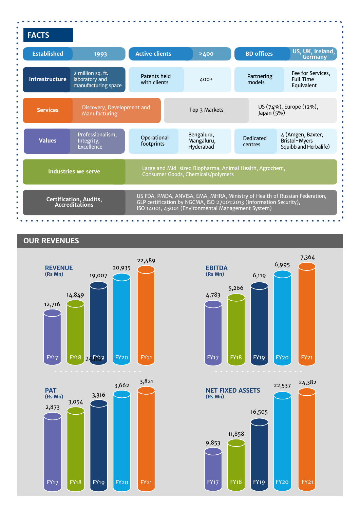| <b>FACTS</b>                             |                                                            |                                                                                                                                                                                                        |                                       |                                       |                                                             |
|------------------------------------------|------------------------------------------------------------|--------------------------------------------------------------------------------------------------------------------------------------------------------------------------------------------------------|---------------------------------------|---------------------------------------|-------------------------------------------------------------|
| <b>Established</b>                       | 1993                                                       | <b>Active clients</b>                                                                                                                                                                                  | >400                                  | <b>BD</b> offices                     | US, UK, Ireland,<br><b>Germany</b>                          |
| <b>Infrastructure</b>                    | 2 million sq. ft.<br>laboratory and<br>manufacturing space | Patents held<br>with clients                                                                                                                                                                           | <b>400+</b>                           | Partnering<br>models                  | Fee for Services,<br><b>Full Time</b><br>Equivalent         |
| <b>Services</b>                          | Discovery, Development and<br>Manufacturing                |                                                                                                                                                                                                        | Top 3 Markets                         | US (74%), Europe (12%),<br>Japan (5%) |                                                             |
| <b>Values</b>                            | Professionalism,<br>Integrity,<br>Excellence               | Operational<br>footprints                                                                                                                                                                              | Bengaluru,<br>Mangaluru,<br>Hyderabad | <b>Dedicated</b><br>centres           | 4 (Amgen, Baxter,<br>Bristol-Myers<br>Squibb and Herbalife) |
| <b>Industries we serve</b>               |                                                            | Large and Mid-sized Biopharma, Animal Health, Agrochem,<br>Consumer Goods, Chemicals/polymers                                                                                                          |                                       |                                       |                                                             |
| Certification, Audits,<br>Accreditations |                                                            | US FDA, PMDA, ANVISA, EMA, MHRA, Ministry of Health of Russian Federation,<br>GLP certification by NGCMA, ISO 27001:2013 (Information Security),<br>ISO 14001, 45001 (Environmental Management System) |                                       |                                       |                                                             |

### **OUR REVENUES**